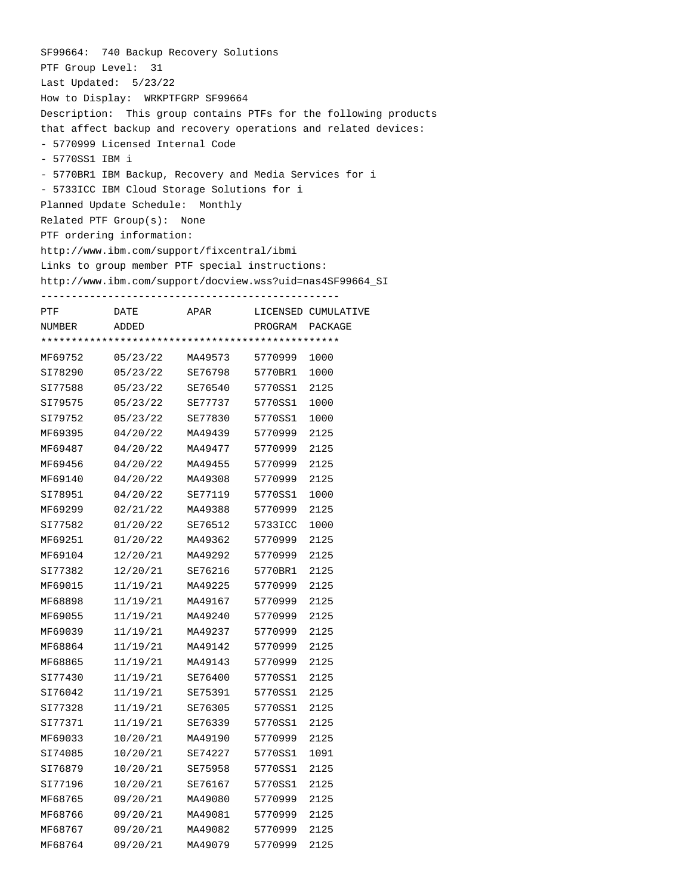|                     | SF99664: 740 Backup Recovery Solutions          |         |                      |                                                                  |
|---------------------|-------------------------------------------------|---------|----------------------|------------------------------------------------------------------|
| PTF Group Level: 31 |                                                 |         |                      |                                                                  |
|                     | Last Updated: $5/23/22$                         |         |                      |                                                                  |
|                     | How to Display: WRKPTFGRP SF99664               |         |                      |                                                                  |
|                     |                                                 |         |                      | Description: This group contains PTFs for the following products |
|                     |                                                 |         |                      | that affect backup and recovery operations and related devices:  |
|                     | - 5770999 Licensed Internal Code                |         |                      |                                                                  |
| - 5770SS1 IBM i     |                                                 |         |                      |                                                                  |
|                     |                                                 |         |                      | - 5770BR1 IBM Backup, Recovery and Media Services for i          |
|                     | - 5733ICC IBM Cloud Storage Solutions for i     |         |                      |                                                                  |
|                     | Planned Update Schedule: Monthly                |         |                      |                                                                  |
|                     |                                                 |         |                      |                                                                  |
|                     | $Related$ PTF $Group(s):$ None                  |         |                      |                                                                  |
|                     | PTF ordering information:                       |         |                      |                                                                  |
|                     | http://www.ibm.com/support/fixcentral/ibmi      |         |                      |                                                                  |
|                     | Links to group member PTF special instructions: |         |                      |                                                                  |
|                     |                                                 |         |                      | http://www.ibm.com/support/docview.wss?uid=nas4SF99664_SI        |
|                     |                                                 |         |                      |                                                                  |
| PTF                 |                                                 |         |                      | DATE APAR LICENSED CUMULATIVE                                    |
| NUMBER              | ADDED                                           |         |                      | PROGRAM PACKAGE                                                  |
|                     |                                                 |         |                      |                                                                  |
| MF69752             | 05/23/22 MA49573 5770999 1000                   |         |                      |                                                                  |
|                     | SI78290  05/23/22  SE76798  5770BR1  1000       |         |                      |                                                                  |
|                     | SI77588  05/23/22  SE76540  5770SS1  2125       |         |                      |                                                                  |
|                     | SI79575  05/23/22  SE77737  5770SS1  1000       |         |                      |                                                                  |
|                     | SI79752 05/23/22                                |         | SE77830 5770SS1      | 1000                                                             |
| MF69395             | 04/20/22                                        | MA49439 | 5770999              | 2125                                                             |
|                     | MF69487 04/20/22                                |         | MA49477 5770999 2125 |                                                                  |
|                     | MF69456 04/20/22                                |         | MA49455 5770999 2125 |                                                                  |
| MF69140             | 04/20/22                                        |         | MA49308 5770999      | 2125                                                             |
| SI78951             | 04/20/22                                        | SE77119 | 5770SS1 1000         |                                                                  |
|                     | MF69299 02/21/22                                |         | MA49388 5770999 2125 |                                                                  |
|                     | SI77582 01/20/22 SE76512 5733ICC 1000           |         |                      |                                                                  |
| MF69251             | 01/20/22                                        |         | MA49362 5770999      | 2125                                                             |
| MF69104             | 12/20/21                                        | MA49292 | 5770999 2125         |                                                                  |
| SI77382             | 12/20/21                                        | SE76216 | 5770BR1              | 2125                                                             |
| MF69015             | 11/19/21                                        | MA49225 | 5770999              | 2125                                                             |
| MF68898             | 11/19/21                                        | MA49167 | 5770999              | 2125                                                             |
| MF69055             | 11/19/21                                        | MA49240 | 5770999              | 2125                                                             |
| MF69039             | 11/19/21                                        | MA49237 | 5770999              | 2125                                                             |
|                     |                                                 |         |                      |                                                                  |
| MF68864             | 11/19/21                                        | MA49142 | 5770999              | 2125                                                             |
| MF68865             | 11/19/21                                        | MA49143 | 5770999              | 2125                                                             |
| SI77430             | 11/19/21                                        | SE76400 | 5770SS1              | 2125                                                             |
| SI76042             | 11/19/21                                        | SE75391 | 5770SS1              | 2125                                                             |
| SI77328             | 11/19/21                                        | SE76305 | 5770SS1              | 2125                                                             |
| SI77371             | 11/19/21                                        | SE76339 | 5770SS1              | 2125                                                             |
| MF69033             | 10/20/21                                        | MA49190 | 5770999              | 2125                                                             |
| SI74085             | 10/20/21                                        | SE74227 | 5770SS1              | 1091                                                             |
| SI76879             | 10/20/21                                        | SE75958 | 5770SS1              | 2125                                                             |
| SI77196             | 10/20/21                                        | SE76167 | 5770SS1              | 2125                                                             |
| MF68765             | 09/20/21                                        | MA49080 | 5770999              | 2125                                                             |
| MF68766             | 09/20/21                                        | MA49081 | 5770999              | 2125                                                             |
| MF68767             | 09/20/21                                        | MA49082 | 5770999              | 2125                                                             |
| MF68764             | 09/20/21                                        | MA49079 | 5770999              | 2125                                                             |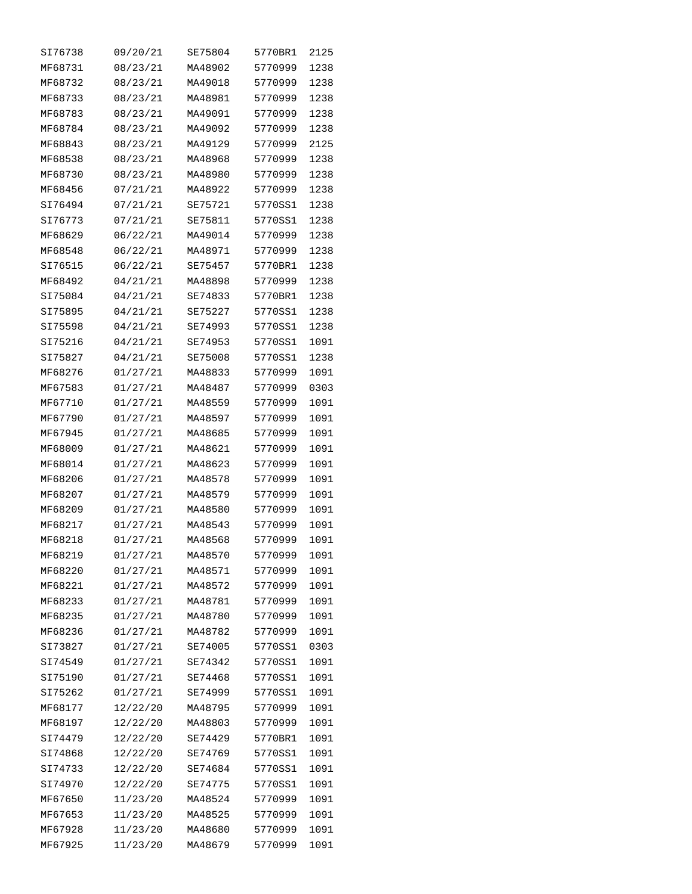| SI76738 | 09/20/21 | SE75804 | 5770BR1 | 2125 |
|---------|----------|---------|---------|------|
| MF68731 | 08/23/21 | MA48902 | 5770999 | 1238 |
| MF68732 | 08/23/21 | MA49018 | 5770999 | 1238 |
| MF68733 | 08/23/21 | MA48981 | 5770999 | 1238 |
| MF68783 | 08/23/21 | MA49091 | 5770999 | 1238 |
| MF68784 | 08/23/21 | MA49092 | 5770999 | 1238 |
| MF68843 | 08/23/21 | MA49129 | 5770999 | 2125 |
| MF68538 | 08/23/21 | MA48968 | 5770999 | 1238 |
| MF68730 | 08/23/21 | MA48980 | 5770999 | 1238 |
| MF68456 | 07/21/21 | MA48922 | 5770999 | 1238 |
| SI76494 | 07/21/21 | SE75721 | 5770SS1 | 1238 |
| SI76773 | 07/21/21 | SE75811 | 5770SS1 | 1238 |
| MF68629 | 06/22/21 | MA49014 | 5770999 | 1238 |
| MF68548 | 06/22/21 | MA48971 | 5770999 | 1238 |
| SI76515 | 06/22/21 | SE75457 | 5770BR1 | 1238 |
| MF68492 | 04/21/21 | MA48898 | 5770999 | 1238 |
| SI75084 | 04/21/21 | SE74833 | 5770BR1 | 1238 |
| SI75895 | 04/21/21 | SE75227 | 5770SS1 | 1238 |
| SI75598 | 04/21/21 | SE74993 | 5770SS1 | 1238 |
| SI75216 | 04/21/21 | SE74953 | 5770SS1 | 1091 |
| SI75827 | 04/21/21 | SE75008 | 5770SS1 | 1238 |
| MF68276 | 01/27/21 | MA48833 | 5770999 | 1091 |
| MF67583 | 01/27/21 | MA48487 | 5770999 | 0303 |
| MF67710 | 01/27/21 | MA48559 | 5770999 | 1091 |
| MF67790 | 01/27/21 | MA48597 | 5770999 | 1091 |
| MF67945 | 01/27/21 | MA48685 | 5770999 | 1091 |
| MF68009 | 01/27/21 | MA48621 | 5770999 | 1091 |
| MF68014 | 01/27/21 | MA48623 | 5770999 | 1091 |
| MF68206 | 01/27/21 | MA48578 | 5770999 | 1091 |
| MF68207 | 01/27/21 | MA48579 | 5770999 | 1091 |
| MF68209 | 01/27/21 | MA48580 | 5770999 | 1091 |
| MF68217 | 01/27/21 | MA48543 | 5770999 | 1091 |
| MF68218 | 01/27/21 | MA48568 | 5770999 | 1091 |
| MF68219 | 01/27/21 | MA48570 | 5770999 | 1091 |
| MF68220 | 01/27/21 | MA48571 | 5770999 | 1091 |
| MF68221 | 01/27/21 | MA48572 | 5770999 | 1091 |
| MF68233 | 01/27/21 | MA48781 | 5770999 | 1091 |
| MF68235 | 01/27/21 | MA48780 | 5770999 | 1091 |
| MF68236 | 01/27/21 | MA48782 | 5770999 | 1091 |
| SI73827 | 01/27/21 | SE74005 | 5770SS1 | 0303 |
| SI74549 | 01/27/21 | SE74342 | 5770SS1 | 1091 |
| SI75190 | 01/27/21 | SE74468 | 5770SS1 | 1091 |
| SI75262 | 01/27/21 | SE74999 | 5770SS1 | 1091 |
| MF68177 | 12/22/20 | MA48795 | 5770999 | 1091 |
| MF68197 | 12/22/20 | MA48803 | 5770999 | 1091 |
| SI74479 | 12/22/20 | SE74429 | 5770BR1 | 1091 |
| SI74868 | 12/22/20 | SE74769 | 5770SS1 | 1091 |
| SI74733 | 12/22/20 | SE74684 | 5770SS1 | 1091 |
| SI74970 | 12/22/20 | SE74775 | 5770SS1 | 1091 |
| MF67650 | 11/23/20 | MA48524 | 5770999 | 1091 |
| MF67653 | 11/23/20 | MA48525 | 5770999 | 1091 |
| MF67928 | 11/23/20 | MA48680 | 5770999 | 1091 |
| MF67925 | 11/23/20 | MA48679 | 5770999 | 1091 |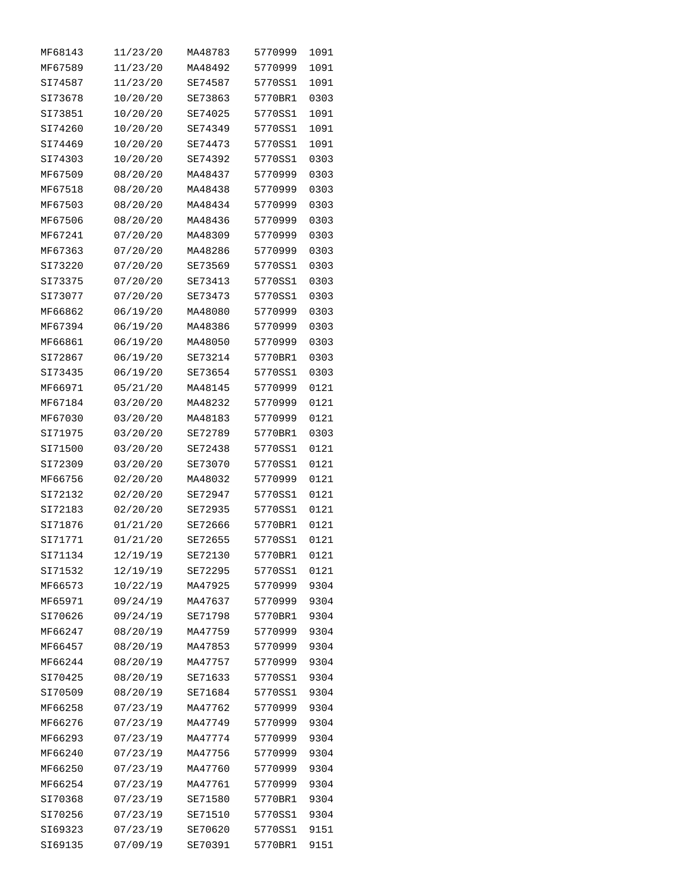| MF68143 | 11/23/20 | MA48783 | 5770999 | 1091 |
|---------|----------|---------|---------|------|
| MF67589 | 11/23/20 | MA48492 | 5770999 | 1091 |
| SI74587 | 11/23/20 | SE74587 | 5770SS1 | 1091 |
| SI73678 | 10/20/20 | SE73863 | 5770BR1 | 0303 |
| SI73851 | 10/20/20 | SE74025 | 5770SS1 | 1091 |
| SI74260 | 10/20/20 | SE74349 | 5770SS1 | 1091 |
| SI74469 | 10/20/20 | SE74473 | 5770SS1 | 1091 |
| SI74303 | 10/20/20 | SE74392 | 5770SS1 | 0303 |
| MF67509 | 08/20/20 | MA48437 | 5770999 | 0303 |
| MF67518 | 08/20/20 | MA48438 | 5770999 | 0303 |
| MF67503 | 08/20/20 | MA48434 | 5770999 | 0303 |
| MF67506 | 08/20/20 | MA48436 | 5770999 | 0303 |
| MF67241 | 07/20/20 | MA48309 | 5770999 | 0303 |
| MF67363 | 07/20/20 | MA48286 | 5770999 | 0303 |
| SI73220 | 07/20/20 | SE73569 | 5770SS1 | 0303 |
| SI73375 | 07/20/20 | SE73413 | 5770SS1 | 0303 |
| SI73077 | 07/20/20 | SE73473 | 5770SS1 | 0303 |
| MF66862 | 06/19/20 | MA48080 | 5770999 | 0303 |
|         |          |         |         |      |
| MF67394 | 06/19/20 | MA48386 | 5770999 | 0303 |
| MF66861 | 06/19/20 | MA48050 | 5770999 | 0303 |
| SI72867 | 06/19/20 | SE73214 | 5770BR1 | 0303 |
| SI73435 | 06/19/20 | SE73654 | 5770SS1 | 0303 |
| MF66971 | 05/21/20 | MA48145 | 5770999 | 0121 |
| MF67184 | 03/20/20 | MA48232 | 5770999 | 0121 |
| MF67030 | 03/20/20 | MA48183 | 5770999 | 0121 |
| SI71975 | 03/20/20 | SE72789 | 5770BR1 | 0303 |
| SI71500 | 03/20/20 | SE72438 | 5770SS1 | 0121 |
| SI72309 | 03/20/20 | SE73070 | 5770SS1 | 0121 |
| MF66756 | 02/20/20 | MA48032 | 5770999 | 0121 |
| SI72132 | 02/20/20 | SE72947 | 5770SS1 | 0121 |
| SI72183 | 02/20/20 | SE72935 | 5770SS1 | 0121 |
| SI71876 | 01/21/20 | SE72666 | 5770BR1 | 0121 |
| SI71771 | 01/21/20 | SE72655 | 5770SS1 | 0121 |
| SI71134 | 12/19/19 | SE72130 | 5770BR1 | 0121 |
| SI71532 | 12/19/19 | SE72295 | 5770SS1 | 0121 |
| MF66573 | 10/22/19 | MA47925 | 5770999 | 9304 |
| MF65971 | 09/24/19 | MA47637 | 5770999 | 9304 |
| SI70626 | 09/24/19 | SE71798 | 5770BR1 | 9304 |
| MF66247 | 08/20/19 | MA47759 | 5770999 | 9304 |
| MF66457 | 08/20/19 | MA47853 | 5770999 | 9304 |
| MF66244 | 08/20/19 | MA47757 | 5770999 | 9304 |
| SI70425 | 08/20/19 | SE71633 | 5770SS1 | 9304 |
| SI70509 | 08/20/19 | SE71684 | 5770SS1 | 9304 |
| MF66258 | 07/23/19 | MA47762 | 5770999 | 9304 |
| MF66276 | 07/23/19 | MA47749 | 5770999 | 9304 |
| MF66293 | 07/23/19 | MA47774 | 5770999 | 9304 |
| MF66240 | 07/23/19 | MA47756 | 5770999 | 9304 |
| MF66250 | 07/23/19 | MA47760 | 5770999 | 9304 |
| MF66254 | 07/23/19 | MA47761 | 5770999 | 9304 |
| SI70368 | 07/23/19 | SE71580 | 5770BR1 | 9304 |
| SI70256 | 07/23/19 | SE71510 | 5770SS1 | 9304 |
| SI69323 | 07/23/19 | SE70620 | 5770SS1 | 9151 |
| SI69135 | 07/09/19 | SE70391 | 5770BR1 | 9151 |
|         |          |         |         |      |